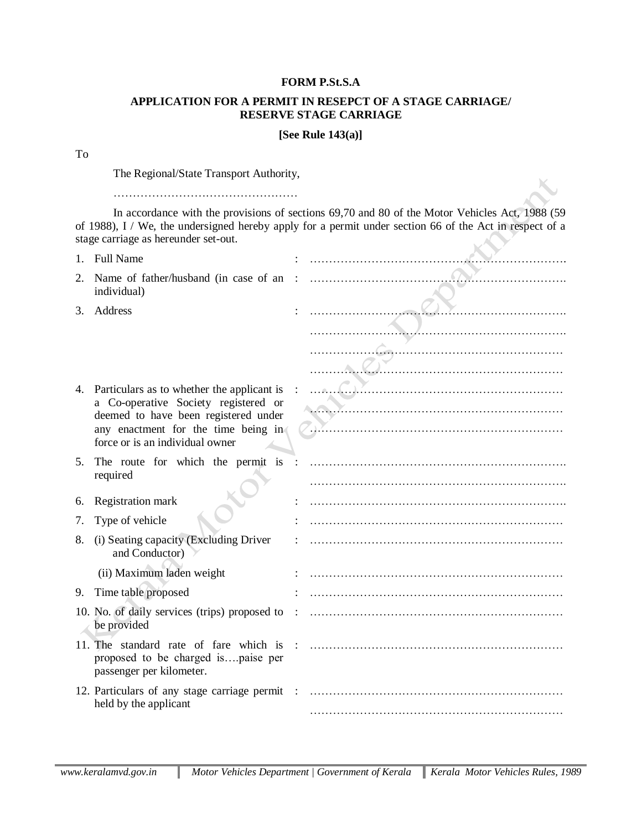## **FORM P.St.S.A**

## **APPLICATION FOR A PERMIT IN RESEPCT OF A STAGE CARRIAGE/ RESERVE STAGE CARRIAGE**

## **[See Rule 143(a)]**

## To

The Regional/State Transport Authority,

…………………………………………

In accordance with the provisions of sections 69,70 and 80 of the Motor Vehicles Act, 1988 (59 of 1988), I / We, the undersigned hereby apply for a permit under section 66 of the Act in respect of a stage carriage as hereunder set-out.

| $1_{-}$ | <b>Full Name</b>                                                                                                                                                                                     |  |
|---------|------------------------------------------------------------------------------------------------------------------------------------------------------------------------------------------------------|--|
| 2.      | Name of father/husband (in case of an<br>individual)                                                                                                                                                 |  |
|         | 3. Address                                                                                                                                                                                           |  |
|         |                                                                                                                                                                                                      |  |
| 4.      | Particulars as to whether the applicant is<br>a Co-operative Society registered or<br>deemed to have been registered under<br>any enactment for the time being in<br>force or is an individual owner |  |
| 5.      | The route for which the permit is<br>required                                                                                                                                                        |  |
| 6.      | Registration mark                                                                                                                                                                                    |  |
| 7.      | Type of vehicle                                                                                                                                                                                      |  |
| 8.      | (i) Seating capacity (Excluding Driver<br>and Conductor)                                                                                                                                             |  |
|         | (ii) Maximum laden weight                                                                                                                                                                            |  |
| 9.      | Time table proposed                                                                                                                                                                                  |  |
|         | 10. No. of daily services (trips) proposed to<br>be provided                                                                                                                                         |  |
|         | 11. The standard rate of fare which is<br>proposed to be charged ispaise per<br>passenger per kilometer.                                                                                             |  |
|         | 12. Particulars of any stage carriage permit<br>held by the applicant                                                                                                                                |  |
|         |                                                                                                                                                                                                      |  |